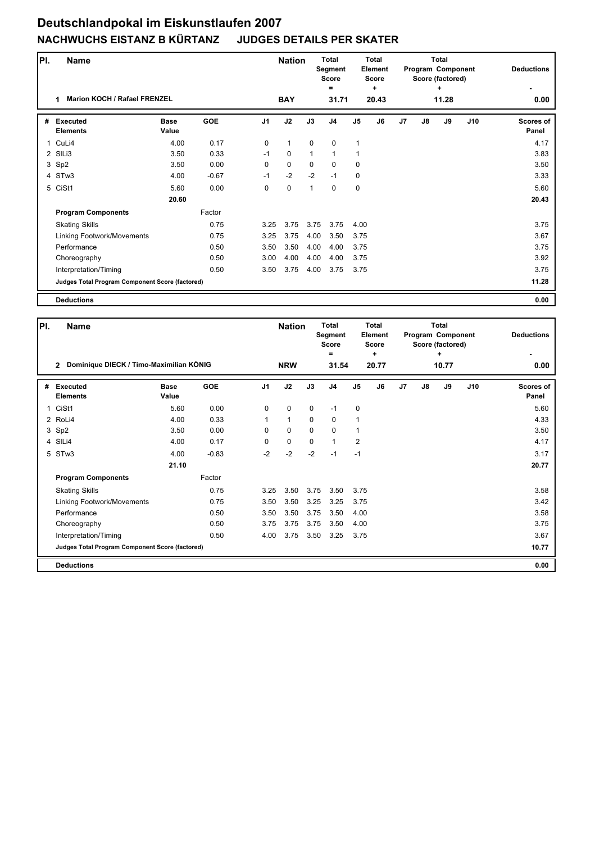## **Deutschlandpokal im Eiskunstlaufen 2007 NACHWUCHS EISTANZ B KÜRTANZ JUDGES DETAILS PER SKATER**

| PI.          | <b>Name</b>                                     |                      |            |                | <b>Nation</b> |             | <b>Total</b><br>Segment<br>Score<br>$=$ |             | <b>Total</b><br>Element<br><b>Score</b><br>÷ |                |               | <b>Total</b><br>Program Component<br>Score (factored)<br>٠ | <b>Deductions</b> |                           |
|--------------|-------------------------------------------------|----------------------|------------|----------------|---------------|-------------|-----------------------------------------|-------------|----------------------------------------------|----------------|---------------|------------------------------------------------------------|-------------------|---------------------------|
|              | <b>Marion KOCH / Rafael FRENZEL</b><br>1        |                      |            |                | <b>BAY</b>    |             | 31.71                                   |             | 20.43                                        |                |               | 11.28                                                      |                   | 0.00                      |
| #            | Executed<br><b>Elements</b>                     | <b>Base</b><br>Value | <b>GOE</b> | J <sub>1</sub> | J2            | J3          | J <sub>4</sub>                          | J5          | J6                                           | J <sub>7</sub> | $\mathsf{J}8$ | J9                                                         | J10               | <b>Scores of</b><br>Panel |
| $\mathbf{1}$ | CuLi4                                           | 4.00                 | 0.17       | $\Omega$       | $\mathbf{1}$  | $\mathbf 0$ | $\mathbf 0$                             | 1           |                                              |                |               |                                                            |                   | 4.17                      |
|              | 2 SILi3                                         | 3.50                 | 0.33       | $-1$           | $\mathbf 0$   | 1           | $\mathbf{1}$                            | 1           |                                              |                |               |                                                            |                   | 3.83                      |
|              | 3 Sp2                                           | 3.50                 | 0.00       | 0              | 0             | $\mathbf 0$ | 0                                       | 0           |                                              |                |               |                                                            |                   | 3.50                      |
|              | 4 STw3                                          | 4.00                 | $-0.67$    | $-1$           | $-2$          | $-2$        | $-1$                                    | $\mathbf 0$ |                                              |                |               |                                                            |                   | 3.33                      |
|              | 5 CiSt1                                         | 5.60                 | 0.00       | 0              | $\mathbf 0$   | 1           | 0                                       | $\mathbf 0$ |                                              |                |               |                                                            |                   | 5.60                      |
|              |                                                 | 20.60                |            |                |               |             |                                         |             |                                              |                |               |                                                            |                   | 20.43                     |
|              | <b>Program Components</b>                       |                      | Factor     |                |               |             |                                         |             |                                              |                |               |                                                            |                   |                           |
|              | <b>Skating Skills</b>                           |                      | 0.75       | 3.25           | 3.75          | 3.75        | 3.75                                    | 4.00        |                                              |                |               |                                                            |                   | 3.75                      |
|              | Linking Footwork/Movements                      |                      | 0.75       | 3.25           | 3.75          | 4.00        | 3.50                                    | 3.75        |                                              |                |               |                                                            |                   | 3.67                      |
|              | Performance                                     |                      | 0.50       | 3.50           | 3.50          | 4.00        | 4.00                                    | 3.75        |                                              |                |               |                                                            |                   | 3.75                      |
|              | Choreography                                    |                      | 0.50       | 3.00           | 4.00          | 4.00        | 4.00                                    | 3.75        |                                              |                |               |                                                            |                   | 3.92                      |
|              | Interpretation/Timing                           |                      | 0.50       | 3.50           | 3.75          | 4.00        | 3.75                                    | 3.75        |                                              |                |               |                                                            |                   | 3.75                      |
|              | Judges Total Program Component Score (factored) |                      |            |                |               |             |                                         |             |                                              |                |               |                                                            |                   | 11.28                     |
|              | <b>Deductions</b>                               |                      |            |                |               |             |                                         |             |                                              |                |               |                                                            |                   | 0.00                      |

| PI. | <b>Name</b>                                     |                                         |            |                | <b>Nation</b> |             | <b>Total</b><br>Segment<br><b>Score</b><br>$\equiv$ |                | <b>Total</b><br>Element<br><b>Score</b><br>÷ |                |    | Total<br>Program Component<br>Score (factored)<br>٠ |     | <b>Deductions</b>         |
|-----|-------------------------------------------------|-----------------------------------------|------------|----------------|---------------|-------------|-----------------------------------------------------|----------------|----------------------------------------------|----------------|----|-----------------------------------------------------|-----|---------------------------|
|     | $\overline{2}$                                  | Dominique DIECK / Timo-Maximilian KÖNIG |            |                |               |             | <b>NRW</b><br>31.54                                 |                | 20.77                                        |                |    | 10.77                                               |     | 0.00                      |
| #   | <b>Executed</b><br><b>Elements</b>              | <b>Base</b><br>Value                    | <b>GOE</b> | J <sub>1</sub> | J2            | J3          | J <sub>4</sub>                                      | J <sub>5</sub> | J6                                           | J <sub>7</sub> | J8 | J9                                                  | J10 | <b>Scores of</b><br>Panel |
| 1   | CiSt1                                           | 5.60                                    | 0.00       | 0              | $\mathbf 0$   | $\mathbf 0$ | $-1$                                                | $\mathbf 0$    |                                              |                |    |                                                     |     | 5.60                      |
|     | 2 RoLi4                                         | 4.00                                    | 0.33       | 1              | $\mathbf{1}$  | $\mathbf 0$ | 0                                                   | 1              |                                              |                |    |                                                     |     | 4.33                      |
|     | 3 Sp2                                           | 3.50                                    | 0.00       | $\Omega$       | 0             | $\Omega$    | $\Omega$                                            | 1              |                                              |                |    |                                                     |     | 3.50                      |
|     | 4 SILi4                                         | 4.00                                    | 0.17       | $\Omega$       | $\pmb{0}$     | $\Omega$    | 1                                                   | $\overline{2}$ |                                              |                |    |                                                     |     | 4.17                      |
|     | 5 STw3                                          | 4.00                                    | $-0.83$    | $-2$           | $-2$          | $-2$        | $-1$                                                | $-1$           |                                              |                |    |                                                     |     | 3.17                      |
|     |                                                 | 21.10                                   |            |                |               |             |                                                     |                |                                              |                |    |                                                     |     | 20.77                     |
|     | <b>Program Components</b>                       |                                         | Factor     |                |               |             |                                                     |                |                                              |                |    |                                                     |     |                           |
|     | <b>Skating Skills</b>                           |                                         | 0.75       | 3.25           | 3.50          | 3.75        | 3.50                                                | 3.75           |                                              |                |    |                                                     |     | 3.58                      |
|     | Linking Footwork/Movements                      |                                         | 0.75       | 3.50           | 3.50          | 3.25        | 3.25                                                | 3.75           |                                              |                |    |                                                     |     | 3.42                      |
|     | Performance                                     |                                         | 0.50       | 3.50           | 3.50          | 3.75        | 3.50                                                | 4.00           |                                              |                |    |                                                     |     | 3.58                      |
|     | Choreography                                    |                                         | 0.50       | 3.75           | 3.75          | 3.75        | 3.50                                                | 4.00           |                                              |                |    |                                                     |     | 3.75                      |
|     | Interpretation/Timing                           |                                         | 0.50       | 4.00           | 3.75          | 3.50        | 3.25                                                | 3.75           |                                              |                |    |                                                     |     | 3.67                      |
|     | Judges Total Program Component Score (factored) |                                         |            |                |               |             |                                                     |                |                                              |                |    |                                                     |     | 10.77                     |
|     | <b>Deductions</b>                               |                                         |            |                |               |             |                                                     |                |                                              |                |    |                                                     |     | 0.00                      |